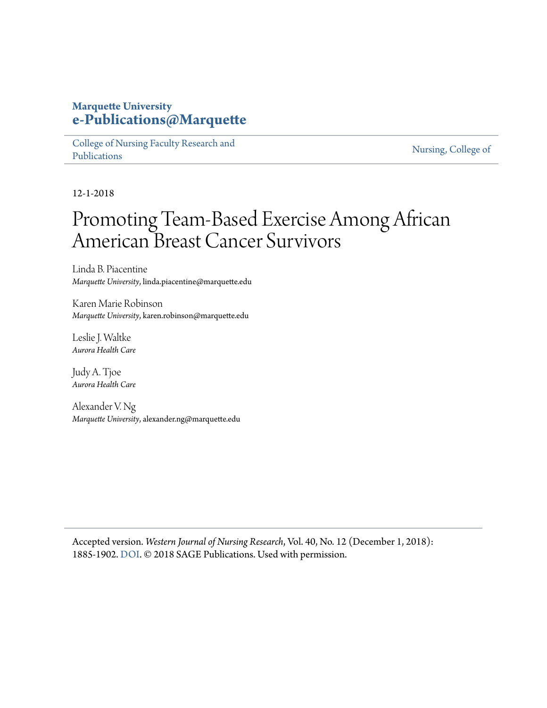## **Marquette University [e-Publications@Marquette](https://epublications.marquette.edu)**

[College of Nursing Faculty Research and](https://epublications.marquette.edu/nursing_fac) [Publications](https://epublications.marquette.edu/nursing_fac)

[Nursing, College of](https://epublications.marquette.edu/nursing)

12-1-2018

# Promoting Team-Based Exercise Among African American Breast Cancer Survivors

Linda B. Piacentine *Marquette University*, linda.piacentine@marquette.edu

Karen Marie Robinson *Marquette University*, karen.robinson@marquette.edu

Leslie J. Waltke *Aurora Health Care*

Judy A. Tjoe *Aurora Health Care*

Alexander V. Ng *Marquette University*, alexander.ng@marquette.edu

Accepted version. *Western Journal of Nursing Research*, Vol. 40, No. 12 (December 1, 2018): 1885-1902. [DOI](https://doi.org/10.1177%2F0193945918795313). © 2018 SAGE Publications. Used with permission.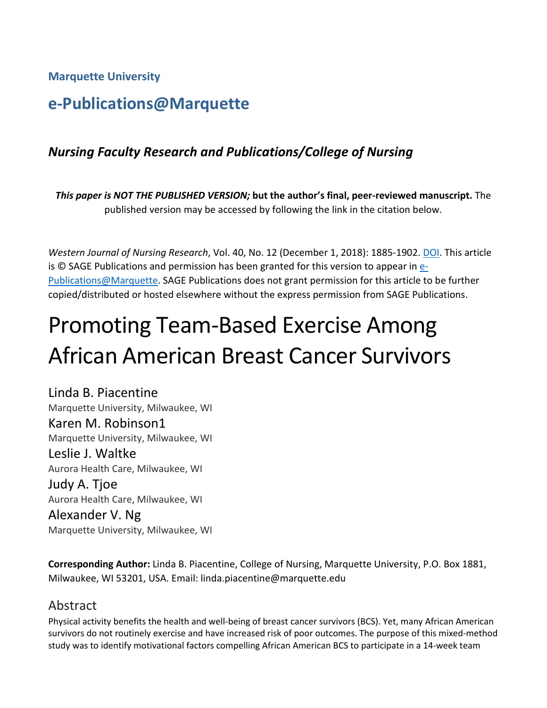**Marquette University**

## **e-Publications@Marquette**

## *Nursing Faculty Research and Publications/College of Nursing*

*This paper is NOT THE PUBLISHED VERSION;* **but the author's final, peer-reviewed manuscript.** The published version may be accessed by following the link in the citation below.

*Western Journal of Nursing Research*, Vol. 40, No. 12 (December 1, 2018): 1885-1902. [DOI.](https://doi.org/10.1177%2F0193945918795313) This article is © SAGE Publications and permission has been granted for this version to appear in [e-](http://epublications.marquette.edu/)[Publications@Marquette.](http://epublications.marquette.edu/) SAGE Publications does not grant permission for this article to be further copied/distributed or hosted elsewhere without the express permission from SAGE Publications.

# Promoting Team-Based Exercise Among African American Breast Cancer Survivors

Linda B. Piacentine Marquette University, Milwaukee, WI Karen M. Robinson1 Marquette University, Milwaukee, WI Leslie J. Waltke Aurora Health Care, Milwaukee, WI

Judy A. Tjoe Aurora Health Care, Milwaukee, WI

Alexander V. Ng Marquette University, Milwaukee, WI

**Corresponding Author:** Linda B. Piacentine, College of Nursing, Marquette University, P.O. Box 1881, Milwaukee, WI 53201, USA. Email: linda.piacentine@marquette.edu

## Abstract

Physical activity benefits the health and well-being of breast cancer survivors (BCS). Yet, many African American survivors do not routinely exercise and have increased risk of poor outcomes. The purpose of this mixed-method study was to identify motivational factors compelling African American BCS to participate in a 14-week team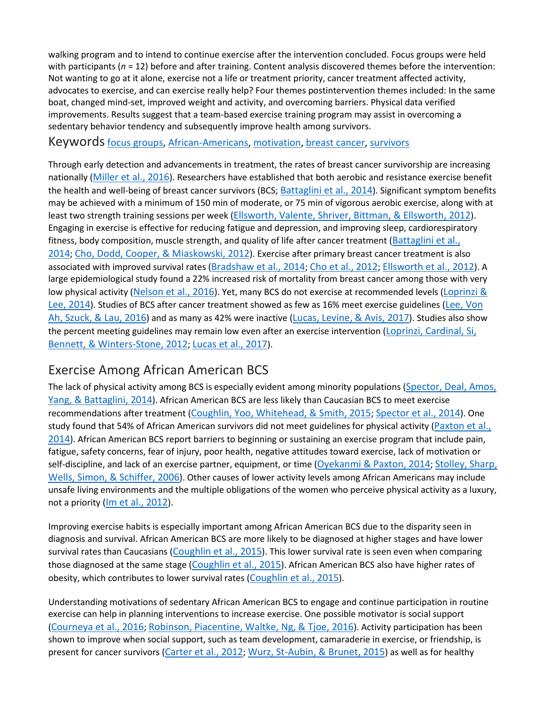walking program and to intend to continue exercise after the intervention concluded. Focus groups were held with participants ( $n = 12$ ) before and after training. Content analysis discovered themes before the intervention: Not wanting to go at it alone, exercise not a life or treatment priority, cancer treatment affected activity, advocates to exercise, and can exercise really help? Four themes postintervention themes included: In the same boat, changed mind-set, improved weight and activity, and overcoming barriers. Physical data verified improvements. Results suggest that a team-based exercise training program may assist in overcoming a sedentary behavior tendency and subsequently improve health among survivors.

#### Keywords [focus groups,](https://journals.sagepub.com/keyword/Focus+Groups) [African-Americans,](https://journals.sagepub.com/keyword/African-americans) [motivation,](https://journals.sagepub.com/keyword/Motivation) [breast cancer,](https://journals.sagepub.com/keyword/Breast+Cancer) [survivors](https://journals.sagepub.com/keyword/Survivors)

Through early detection and advancements in treatment, the rates of breast cancer survivorship are increasing nationally [\(Miller et al., 2016\)](https://journals.sagepub.com/doi/10.1177/0193945918795313). Researchers have established that both aerobic and resistance exercise benefit the health and well-being of breast cancer survivors (BCS; [Battaglini et al., 2014\)](https://journals.sagepub.com/doi/10.1177/0193945918795313). Significant symptom benefits may be achieved with a minimum of 150 min of moderate, or 75 min of vigorous aerobic exercise, along with at least two strength training sessions per week [\(Ellsworth, Valente, Shriver, Bittman, & Ellsworth, 2012\)](https://journals.sagepub.com/doi/10.1177/0193945918795313). Engaging in exercise is effective for reducing fatigue and depression, and improving sleep, cardiorespiratory fitness, body composition, muscle strength, and quality of life after cancer treatment (Battaglini et al., [2014;](https://journals.sagepub.com/doi/10.1177/0193945918795313) [Cho, Dodd, Cooper, & Miaskowski, 2012\)](https://journals.sagepub.com/doi/10.1177/0193945918795313). Exercise after primary breast cancer treatment is also associated with improved survival rates [\(Bradshaw et al., 2014;](https://journals.sagepub.com/doi/10.1177/0193945918795313) Cho et [al., 2012;](https://journals.sagepub.com/doi/10.1177/0193945918795313) [Ellsworth et al., 2012\)](https://journals.sagepub.com/doi/10.1177/0193945918795313). A large epidemiological study found a 22% increased risk of mortality from breast cancer among those with very low physical activity [\(Nelson et al., 2016\)](https://journals.sagepub.com/doi/10.1177/0193945918795313). Yet, many BCS do not exercise at recommended levels (Loprinzi & [Lee, 2014\)](https://journals.sagepub.com/doi/10.1177/0193945918795313). Studies of BCS after cancer treatment showed as few as 16% meet exercise guidelines (Lee, Von [Ah, Szuck, & Lau, 2016\)](https://journals.sagepub.com/doi/10.1177/0193945918795313) and as many as 42% were inactive [\(Lucas, Levine, & Avis, 2017\)](https://journals.sagepub.com/doi/10.1177/0193945918795313). Studies also show the percent meeting guidelines may remain low even after an exercise intervention [\(Loprinzi, Cardinal, Si,](https://journals.sagepub.com/doi/10.1177/0193945918795313)  [Bennett, & Winters-Stone, 2012;](https://journals.sagepub.com/doi/10.1177/0193945918795313) [Lucas et al., 2017\)](https://journals.sagepub.com/doi/10.1177/0193945918795313).

## Exercise Among African American BCS

The lack of physical activity among BCS is especially evident among minority populations [\(Spector, Deal, Amos,](https://journals.sagepub.com/doi/10.1177/0193945918795313)  [Yang, & Battaglini, 2014\)](https://journals.sagepub.com/doi/10.1177/0193945918795313). African American BCS are less likely than Caucasian BCS to meet exercise recommendations after treatment [\(Coughlin, Yoo, Whitehead, & Smith, 2015;](https://journals.sagepub.com/doi/10.1177/0193945918795313) [Spector et al., 2014\)](https://journals.sagepub.com/doi/10.1177/0193945918795313). One study found that 54% of African American survivors did not meet guidelines for physical activity [\(Paxton et al.,](https://journals.sagepub.com/doi/10.1177/0193945918795313)  [2014\)](https://journals.sagepub.com/doi/10.1177/0193945918795313). African American BCS report barriers to beginning or sustaining an exercise program that include pain, fatigue, safety concerns, fear of injury, poor health, negative attitudes toward exercise, lack of motivation or self-discipline, and lack of an exercise partner, equipment, or time [\(Oyekanmi & Paxton, 2014;](https://journals.sagepub.com/doi/10.1177/0193945918795313) [Stolley, Sharp,](https://journals.sagepub.com/doi/10.1177/0193945918795313)  [Wells, Simon, & Schiffer, 2006\)](https://journals.sagepub.com/doi/10.1177/0193945918795313). Other causes of lower activity levels among African Americans may include unsafe living environments and the multiple obligations of the women who perceive physical activity as a luxury, not a priority [\(Im et al., 2012\)](https://journals.sagepub.com/doi/10.1177/0193945918795313).

Improving exercise habits is especially important among African American BCS due to the disparity seen in diagnosis and survival. African American BCS are more likely to be diagnosed at higher stages and have lower survival rates than Caucasians [\(Coughlin et al., 2015\)](https://journals.sagepub.com/doi/10.1177/0193945918795313). This lower survival rate is seen even when comparing those diagnosed at the same stage [\(Coughlin et al., 2015\)](https://journals.sagepub.com/doi/10.1177/0193945918795313). African American BCS also have higher rates of obesity, which contributes to lower survival rates [\(Coughlin et al., 2015\)](https://journals.sagepub.com/doi/10.1177/0193945918795313).

Understanding motivations of sedentary African American BCS to engage and continue participation in routine exercise can help in planning interventions to increase exercise. One possible motivator is social support [\(Courneya et al., 2016;](https://journals.sagepub.com/doi/10.1177/0193945918795313) [Robinson, Piacentine, Waltke, Ng, & Tjoe, 2016\)](https://journals.sagepub.com/doi/10.1177/0193945918795313). Activity participation has been shown to improve when social support, such as team development, camaraderie in exercise, or friendship, is present for cancer survivors [\(Carter et al., 2012;](https://journals.sagepub.com/doi/10.1177/0193945918795313) [Wurz, St-Aubin, & Brunet, 2015\)](https://journals.sagepub.com/doi/10.1177/0193945918795313) as well as for healthy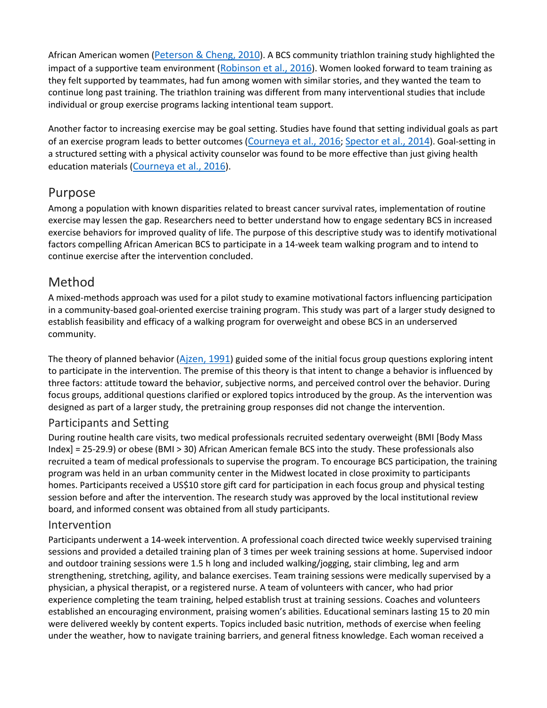African American women [\(Peterson & Cheng, 2010\)](https://journals.sagepub.com/doi/10.1177/0193945918795313). A BCS community triathlon training study highlighted the impact of a supportive team environment [\(Robinson et al., 2016\)](https://journals.sagepub.com/doi/10.1177/0193945918795313). Women looked forward to team training as they felt supported by teammates, had fun among women with similar stories, and they wanted the team to continue long past training. The triathlon training was different from many interventional studies that include individual or group exercise programs lacking intentional team support.

Another factor to increasing exercise may be goal setting. Studies have found that setting individual goals as part of an exercise program leads to better outcomes [\(Courneya et al., 2016;](https://journals.sagepub.com/doi/10.1177/0193945918795313) Spector [et al., 2014\)](https://journals.sagepub.com/doi/10.1177/0193945918795313). Goal-setting in a structured setting with a physical activity counselor was found to be more effective than just giving health education materials [\(Courneya et al., 2016\)](https://journals.sagepub.com/doi/10.1177/0193945918795313).

## Purpose

Among a population with known disparities related to breast cancer survival rates, implementation of routine exercise may lessen the gap. Researchers need to better understand how to engage sedentary BCS in increased exercise behaviors for improved quality of life. The purpose of this descriptive study was to identify motivational factors compelling African American BCS to participate in a 14-week team walking program and to intend to continue exercise after the intervention concluded.

## Method

A mixed-methods approach was used for a pilot study to examine motivational factors influencing participation in a community-based goal-oriented exercise training program. This study was part of a larger study designed to establish feasibility and efficacy of a walking program for overweight and obese BCS in an underserved community.

The theory of planned behavior [\(Ajzen, 1991\)](https://journals.sagepub.com/doi/10.1177/0193945918795313) guided some of the initial focus group questions exploring intent to participate in the intervention. The premise of this theory is that intent to change a behavior is influenced by three factors: attitude toward the behavior, subjective norms, and perceived control over the behavior. During focus groups, additional questions clarified or explored topics introduced by the group. As the intervention was designed as part of a larger study, the pretraining group responses did not change the intervention.

## Participants and Setting

During routine health care visits, two medical professionals recruited sedentary overweight (BMI [Body Mass Index] = 25-29.9) or obese (BMI > 30) African American female BCS into the study. These professionals also recruited a team of medical professionals to supervise the program. To encourage BCS participation, the training program was held in an urban community center in the Midwest located in close proximity to participants homes. Participants received a US\$10 store gift card for participation in each focus group and physical testing session before and after the intervention. The research study was approved by the local institutional review board, and informed consent was obtained from all study participants.

## Intervention

Participants underwent a 14-week intervention. A professional coach directed twice weekly supervised training sessions and provided a detailed training plan of 3 times per week training sessions at home. Supervised indoor and outdoor training sessions were 1.5 h long and included walking/jogging, stair climbing, leg and arm strengthening, stretching, agility, and balance exercises. Team training sessions were medically supervised by a physician, a physical therapist, or a registered nurse. A team of volunteers with cancer, who had prior experience completing the team training, helped establish trust at training sessions. Coaches and volunteers established an encouraging environment, praising women's abilities. Educational seminars lasting 15 to 20 min were delivered weekly by content experts. Topics included basic nutrition, methods of exercise when feeling under the weather, how to navigate training barriers, and general fitness knowledge. Each woman received a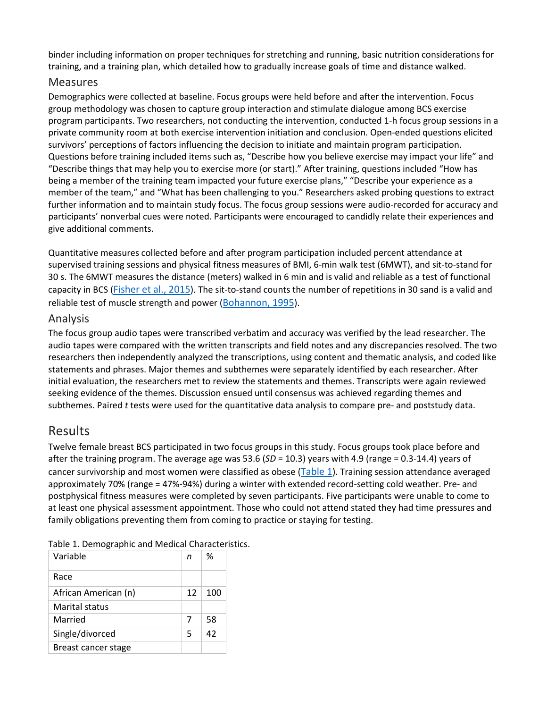binder including information on proper techniques for stretching and running, basic nutrition considerations for training, and a training plan, which detailed how to gradually increase goals of time and distance walked.

#### Measures

Demographics were collected at baseline. Focus groups were held before and after the intervention. Focus group methodology was chosen to capture group interaction and stimulate dialogue among BCS exercise program participants. Two researchers, not conducting the intervention, conducted 1-h focus group sessions in a private community room at both exercise intervention initiation and conclusion. Open-ended questions elicited survivors' perceptions of factors influencing the decision to initiate and maintain program participation. Questions before training included items such as, "Describe how you believe exercise may impact your life" and "Describe things that may help you to exercise more (or start)." After training, questions included "How has being a member of the training team impacted your future exercise plans," "Describe your experience as a member of the team," and "What has been challenging to you." Researchers asked probing questions to extract further information and to maintain study focus. The focus group sessions were audio-recorded for accuracy and participants' nonverbal cues were noted. Participants were encouraged to candidly relate their experiences and give additional comments.

Quantitative measures collected before and after program participation included percent attendance at supervised training sessions and physical fitness measures of BMI, 6-min walk test (6MWT), and sit-to-stand for 30 s. The 6MWT measures the distance (meters) walked in 6 min and is valid and reliable as a test of functional capacity in BCS [\(Fisher et al., 2015\)](https://journals.sagepub.com/doi/10.1177/0193945918795313). The sit-to-stand counts the number of repetitions in 30 sand is a valid and reliable test of muscle strength and power [\(Bohannon, 1995\)](https://journals.sagepub.com/doi/10.1177/0193945918795313).

#### Analysis

The focus group audio tapes were transcribed verbatim and accuracy was verified by the lead researcher. The audio tapes were compared with the written transcripts and field notes and any discrepancies resolved. The two researchers then independently analyzed the transcriptions, using content and thematic analysis, and coded like statements and phrases. Major themes and subthemes were separately identified by each researcher. After initial evaluation, the researchers met to review the statements and themes. Transcripts were again reviewed seeking evidence of the themes. Discussion ensued until consensus was achieved regarding themes and subthemes. Paired *t* tests were used for the quantitative data analysis to compare pre- and poststudy data.

## Results

Twelve female breast BCS participated in two focus groups in this study. Focus groups took place before and after the training program. The average age was 53.6 (*SD* = 10.3) years with 4.9 (range = 0.3-14.4) years of cancer survivorship and most women were classified as obese [\(Table 1\)](https://journals.sagepub.com/doi/10.1177/0193945918795313). Training session attendance averaged approximately 70% (range = 47%-94%) during a winter with extended record-setting cold weather. Pre- and postphysical fitness measures were completed by seven participants. Five participants were unable to come to at least one physical assessment appointment. Those who could not attend stated they had time pressures and family obligations preventing them from coming to practice or staying for testing.

| Variable             | n  | %   |
|----------------------|----|-----|
| Race                 |    |     |
| African American (n) | 12 | 100 |
| Marital status       |    |     |
| Married              | 7  | 58  |
| Single/divorced      | 5  | 42  |
| Breast cancer stage  |    |     |

Table 1. Demographic and Medical Characteristics.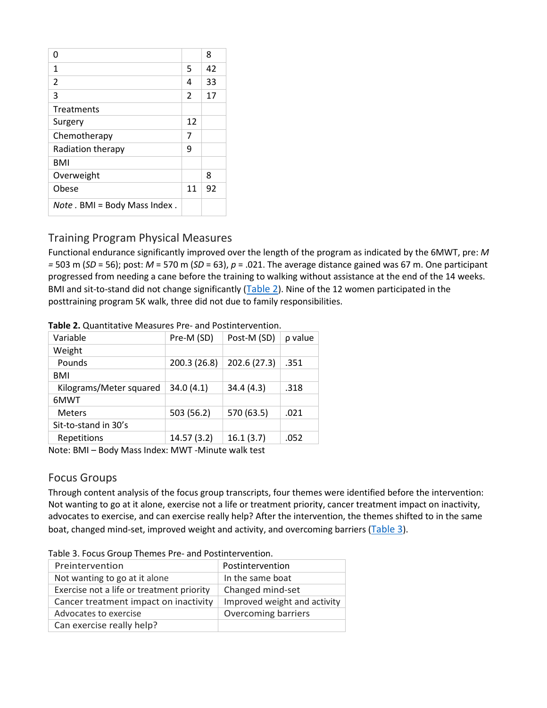| n                             |                | 8  |
|-------------------------------|----------------|----|
| $\mathbf{1}$                  | 5              | 42 |
| $\mathfrak{p}$                | 4              | 33 |
| 3                             | $\overline{2}$ | 17 |
| <b>Treatments</b>             |                |    |
| Surgery                       | 12             |    |
| Chemotherapy                  | 7              |    |
| Radiation therapy             | q              |    |
| <b>BMI</b>                    |                |    |
| Overweight                    |                | 8  |
| Obese                         | 11             | 92 |
| Note . BMI = Body Mass Index. |                |    |

## Training Program Physical Measures

Functional endurance significantly improved over the length of the program as indicated by the 6MWT, pre: *M =* 503 m (*SD* = 56); post: *M* = 570 m (*SD* = 63), *p* = .021. The average distance gained was 67 m. One participant progressed from needing a cane before the training to walking without assistance at the end of the 14 weeks. BMI and sit-to-stand did not change significantly [\(Table 2\)](https://journals.sagepub.com/doi/10.1177/0193945918795313). Nine of the 12 women participated in the posttraining program 5K walk, three did not due to family responsibilities.

| Variable                | Pre-M (SD)   | Post-M (SD)  | p value |
|-------------------------|--------------|--------------|---------|
| Weight                  |              |              |         |
| Pounds                  | 200.3 (26.8) | 202.6 (27.3) | .351    |
| <b>BMI</b>              |              |              |         |
| Kilograms/Meter squared | 34.0(4.1)    | 34.4(4.3)    | .318    |
| 6MWT                    |              |              |         |
| <b>Meters</b>           | 503 (56.2)   | 570 (63.5)   | .021    |
| Sit-to-stand in 30's    |              |              |         |
| Repetitions             | 14.57 (3.2)  | 16.1(3.7)    | .052    |
|                         |              |              |         |

**Table 2.** Quantitative Measures Pre- and Postintervention.

Note: BMI – Body Mass Index: MWT -Minute walk test

#### Focus Groups

Through content analysis of the focus group transcripts, four themes were identified before the intervention: Not wanting to go at it alone, exercise not a life or treatment priority, cancer treatment impact on inactivity, advocates to exercise, and can exercise really help? After the intervention, the themes shifted to in the same boat, changed mind-set, improved weight and activity, and overcoming barriers [\(Table 3\)](https://journals.sagepub.com/doi/10.1177/0193945918795313).

| Preintervention                           | Postintervention             |  |
|-------------------------------------------|------------------------------|--|
| Not wanting to go at it alone             | In the same boat             |  |
| Exercise not a life or treatment priority | Changed mind-set             |  |
| Cancer treatment impact on inactivity     | Improved weight and activity |  |
| Advocates to exercise                     | Overcoming barriers          |  |
| Can exercise really help?                 |                              |  |

Table 3. Focus Group Themes Pre- and Postintervention.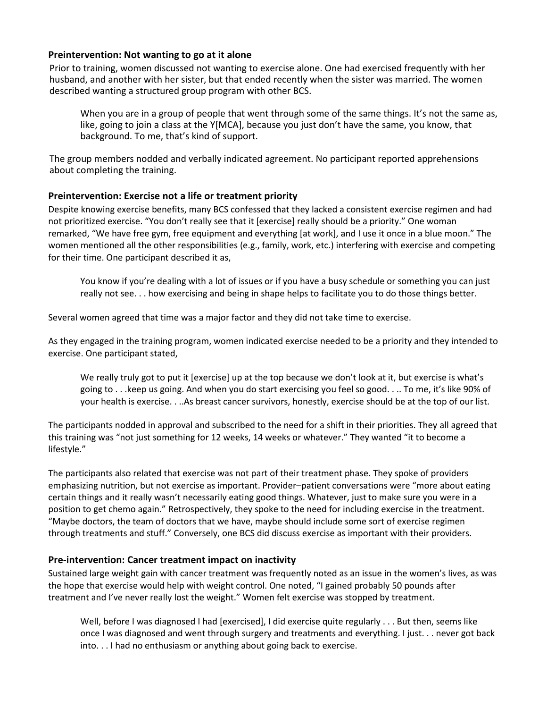#### **Preintervention: Not wanting to go at it alone**

Prior to training, women discussed not wanting to exercise alone. One had exercised frequently with her husband, and another with her sister, but that ended recently when the sister was married. The women described wanting a structured group program with other BCS.

When you are in a group of people that went through some of the same things. It's not the same as, like, going to join a class at the Y[MCA], because you just don't have the same, you know, that background. To me, that's kind of support.

The group members nodded and verbally indicated agreement. No participant reported apprehensions about completing the training.

#### **Preintervention: Exercise not a life or treatment priority**

Despite knowing exercise benefits, many BCS confessed that they lacked a consistent exercise regimen and had not prioritized exercise. "You don't really see that it [exercise] really should be a priority." One woman remarked, "We have free gym, free equipment and everything [at work], and I use it once in a blue moon." The women mentioned all the other responsibilities (e.g., family, work, etc.) interfering with exercise and competing for their time. One participant described it as,

You know if you're dealing with a lot of issues or if you have a busy schedule or something you can just really not see. . . how exercising and being in shape helps to facilitate you to do those things better.

Several women agreed that time was a major factor and they did not take time to exercise.

As they engaged in the training program, women indicated exercise needed to be a priority and they intended to exercise. One participant stated,

We really truly got to put it [exercise] up at the top because we don't look at it, but exercise is what's going to . . .keep us going. And when you do start exercising you feel so good. . .. To me, it's like 90% of your health is exercise. . ..As breast cancer survivors, honestly, exercise should be at the top of our list.

The participants nodded in approval and subscribed to the need for a shift in their priorities. They all agreed that this training was "not just something for 12 weeks, 14 weeks or whatever." They wanted "it to become a lifestyle."

The participants also related that exercise was not part of their treatment phase. They spoke of providers emphasizing nutrition, but not exercise as important. Provider–patient conversations were "more about eating certain things and it really wasn't necessarily eating good things. Whatever, just to make sure you were in a position to get chemo again." Retrospectively, they spoke to the need for including exercise in the treatment. "Maybe doctors, the team of doctors that we have, maybe should include some sort of exercise regimen through treatments and stuff." Conversely, one BCS did discuss exercise as important with their providers.

#### **Pre-intervention: Cancer treatment impact on inactivity**

Sustained large weight gain with cancer treatment was frequently noted as an issue in the women's lives, as was the hope that exercise would help with weight control. One noted, "I gained probably 50 pounds after treatment and I've never really lost the weight." Women felt exercise was stopped by treatment.

Well, before I was diagnosed I had [exercised], I did exercise quite regularly . . . But then, seems like once I was diagnosed and went through surgery and treatments and everything. I just. . . never got back into. . . I had no enthusiasm or anything about going back to exercise.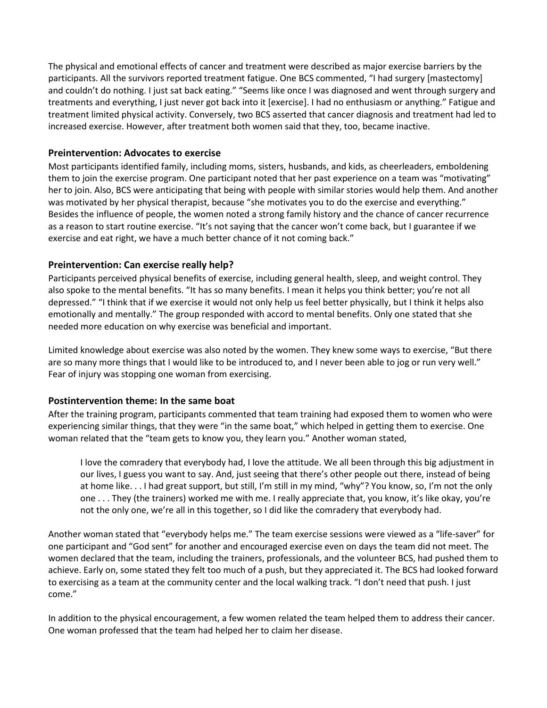The physical and emotional effects of cancer and treatment were described as major exercise barriers by the participants. All the survivors reported treatment fatigue. One BCS commented, "I had surgery [mastectomy] and couldn't do nothing. I just sat back eating." "Seems like once I was diagnosed and went through surgery and treatments and everything, I just never got back into it [exercise]. I had no enthusiasm or anything." Fatigue and treatment limited physical activity. Conversely, two BCS asserted that cancer diagnosis and treatment had led to increased exercise. However, after treatment both women said that they, too, became inactive.

#### **Preintervention: Advocates to exercise**

Most participants identified family, including moms, sisters, husbands, and kids, as cheerleaders, emboldening them to join the exercise program. One participant noted that her past experience on a team was "motivating" her to join. Also, BCS were anticipating that being with people with similar stories would help them. And another was motivated by her physical therapist, because "she motivates you to do the exercise and everything." Besides the influence of people, the women noted a strong family history and the chance of cancer recurrence as a reason to start routine exercise. "It's not saying that the cancer won't come back, but I guarantee if we exercise and eat right, we have a much better chance of it not coming back."

#### **Preintervention: Can exercise really help?**

Participants perceived physical benefits of exercise, including general health, sleep, and weight control. They also spoke to the mental benefits. "It has so many benefits. I mean it helps you think better; you're not all depressed." "I think that if we exercise it would not only help us feel better physically, but I think it helps also emotionally and mentally." The group responded with accord to mental benefits. Only one stated that she needed more education on why exercise was beneficial and important.

Limited knowledge about exercise was also noted by the women. They knew some ways to exercise, "But there are so many more things that I would like to be introduced to, and I never been able to jog or run very well." Fear of injury was stopping one woman from exercising.

#### **Postintervention theme: In the same boat**

After the training program, participants commented that team training had exposed them to women who were experiencing similar things, that they were "in the same boat," which helped in getting them to exercise. One woman related that the "team gets to know you, they learn you." Another woman stated,

I love the comradery that everybody had, I love the attitude. We all been through this big adjustment in our lives, I guess you want to say. And, just seeing that there's other people out there, instead of being at home like. . . I had great support, but still, I'm still in my mind, "why"? You know, so, I'm not the only one . . . They (the trainers) worked me with me. I really appreciate that, you know, it's like okay, you're not the only one, we're all in this together, so I did like the comradery that everybody had.

Another woman stated that "everybody helps me." The team exercise sessions were viewed as a "life-saver" for one participant and "God sent" for another and encouraged exercise even on days the team did not meet. The women declared that the team, including the trainers, professionals, and the volunteer BCS, had pushed them to achieve. Early on, some stated they felt too much of a push, but they appreciated it. The BCS had looked forward to exercising as a team at the community center and the local walking track. "I don't need that push. I just come."

In addition to the physical encouragement, a few women related the team helped them to address their cancer. One woman professed that the team had helped her to claim her disease.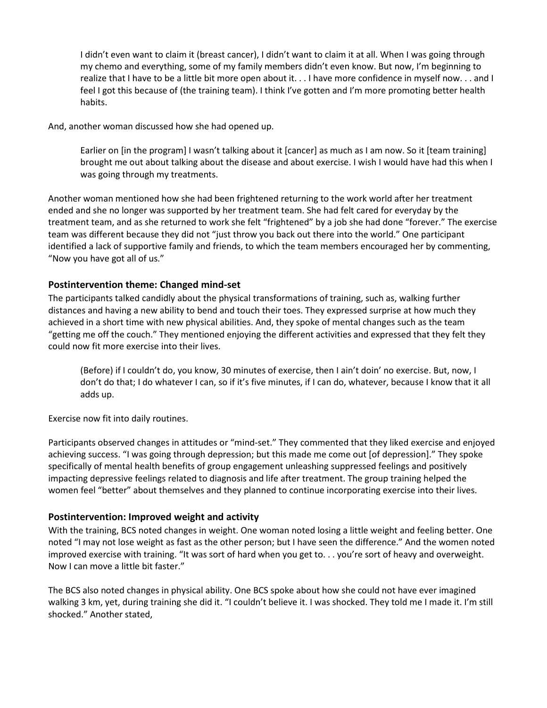I didn't even want to claim it (breast cancer), I didn't want to claim it at all. When I was going through my chemo and everything, some of my family members didn't even know. But now, I'm beginning to realize that I have to be a little bit more open about it. . . I have more confidence in myself now. . . and I feel I got this because of (the training team). I think I've gotten and I'm more promoting better health habits.

And, another woman discussed how she had opened up.

Earlier on [in the program] I wasn't talking about it [cancer] as much as I am now. So it [team training] brought me out about talking about the disease and about exercise. I wish I would have had this when I was going through my treatments.

Another woman mentioned how she had been frightened returning to the work world after her treatment ended and she no longer was supported by her treatment team. She had felt cared for everyday by the treatment team, and as she returned to work she felt "frightened" by a job she had done "forever." The exercise team was different because they did not "just throw you back out there into the world." One participant identified a lack of supportive family and friends, to which the team members encouraged her by commenting, "Now you have got all of us."

#### **Postintervention theme: Changed mind-set**

The participants talked candidly about the physical transformations of training, such as, walking further distances and having a new ability to bend and touch their toes. They expressed surprise at how much they achieved in a short time with new physical abilities. And, they spoke of mental changes such as the team "getting me off the couch." They mentioned enjoying the different activities and expressed that they felt they could now fit more exercise into their lives.

(Before) if I couldn't do, you know, 30 minutes of exercise, then I ain't doin' no exercise. But, now, I don't do that; I do whatever I can, so if it's five minutes, if I can do, whatever, because I know that it all adds up.

Exercise now fit into daily routines.

Participants observed changes in attitudes or "mind-set." They commented that they liked exercise and enjoyed achieving success. "I was going through depression; but this made me come out [of depression]." They spoke specifically of mental health benefits of group engagement unleashing suppressed feelings and positively impacting depressive feelings related to diagnosis and life after treatment. The group training helped the women feel "better" about themselves and they planned to continue incorporating exercise into their lives.

#### **Postintervention: Improved weight and activity**

With the training, BCS noted changes in weight. One woman noted losing a little weight and feeling better. One noted "I may not lose weight as fast as the other person; but I have seen the difference." And the women noted improved exercise with training. "It was sort of hard when you get to. . . you're sort of heavy and overweight. Now I can move a little bit faster."

The BCS also noted changes in physical ability. One BCS spoke about how she could not have ever imagined walking 3 km, yet, during training she did it. "I couldn't believe it. I was shocked. They told me I made it. I'm still shocked." Another stated,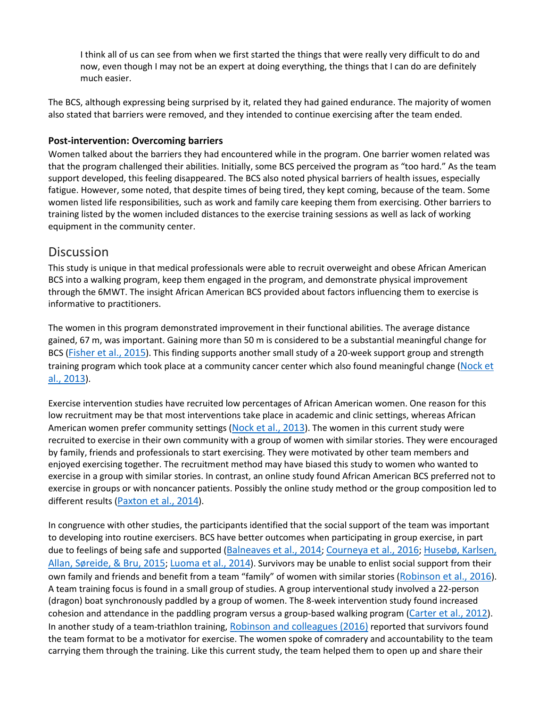I think all of us can see from when we first started the things that were really very difficult to do and now, even though I may not be an expert at doing everything, the things that I can do are definitely much easier.

The BCS, although expressing being surprised by it, related they had gained endurance. The majority of women also stated that barriers were removed, and they intended to continue exercising after the team ended.

#### **Post-intervention: Overcoming barriers**

Women talked about the barriers they had encountered while in the program. One barrier women related was that the program challenged their abilities. Initially, some BCS perceived the program as "too hard." As the team support developed, this feeling disappeared. The BCS also noted physical barriers of health issues, especially fatigue. However, some noted, that despite times of being tired, they kept coming, because of the team. Some women listed life responsibilities, such as work and family care keeping them from exercising. Other barriers to training listed by the women included distances to the exercise training sessions as well as lack of working equipment in the community center.

## **Discussion**

This study is unique in that medical professionals were able to recruit overweight and obese African American BCS into a walking program, keep them engaged in the program, and demonstrate physical improvement through the 6MWT. The insight African American BCS provided about factors influencing them to exercise is informative to practitioners.

The women in this program demonstrated improvement in their functional abilities. The average distance gained, 67 m, was important. Gaining more than 50 m is considered to be a substantial meaningful change for BCS [\(Fisher et al., 2015\)](https://journals.sagepub.com/doi/10.1177/0193945918795313). This finding supports another small study of a 20-week support group and strength training program which took place at a community cancer center which also found meaningful change [\(Nock et](https://journals.sagepub.com/doi/10.1177/0193945918795313)  [al., 2013\)](https://journals.sagepub.com/doi/10.1177/0193945918795313).

Exercise intervention studies have recruited low percentages of African American women. One reason for this low recruitment may be that most interventions take place in academic and clinic settings, whereas African American women prefer community settings [\(Nock et al., 2013\)](https://journals.sagepub.com/doi/10.1177/0193945918795313). The women in this current study were recruited to exercise in their own community with a group of women with similar stories. They were encouraged by family, friends and professionals to start exercising. They were motivated by other team members and enjoyed exercising together. The recruitment method may have biased this study to women who wanted to exercise in a group with similar stories. In contrast, an online study found African American BCS preferred not to exercise in groups or with noncancer patients. Possibly the online study method or the group composition led to different results [\(Paxton et al., 2014\)](https://journals.sagepub.com/doi/10.1177/0193945918795313).

In congruence with other studies, the participants identified that the social support of the team was important to developing into routine exercisers. BCS have better outcomes when participating in group exercise, in part due to feelings of being safe and supported [\(Balneaves et al., 2014;](https://journals.sagepub.com/doi/10.1177/0193945918795313) [Courneya et al., 2016;](https://journals.sagepub.com/doi/10.1177/0193945918795313) Husebø, Karlsen, [Allan, Søreide, & Bru, 2015;](https://journals.sagepub.com/doi/10.1177/0193945918795313) [Luoma et al., 2014\)](https://journals.sagepub.com/doi/10.1177/0193945918795313). Survivors may be unable to enlist social support from their own family and friends and benefit from a team "family" of women with similar stories [\(Robinson et al., 2016\)](https://journals.sagepub.com/doi/10.1177/0193945918795313). A team training focus is found in a small group of studies. A group interventional study involved a 22-person (dragon) boat synchronously paddled by a group of women. The 8-week intervention study found increased cohesion and attendance in the paddling program versus a group-based walking program [\(Carter et al., 2012\)](https://journals.sagepub.com/doi/10.1177/0193945918795313). In another study of a team-triathlon training, [Robinson and colleagues \(2016\)](https://journals.sagepub.com/doi/10.1177/0193945918795313) reported that survivors found the team format to be a motivator for exercise. The women spoke of comradery and accountability to the team carrying them through the training. Like this current study, the team helped them to open up and share their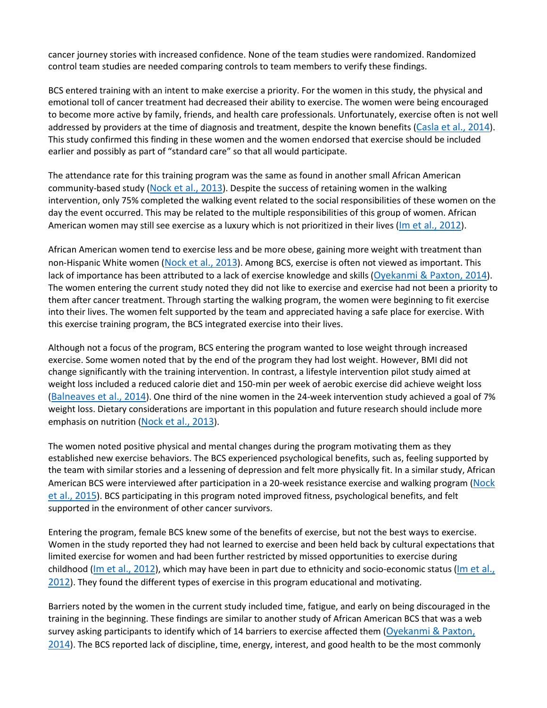cancer journey stories with increased confidence. None of the team studies were randomized. Randomized control team studies are needed comparing controls to team members to verify these findings.

BCS entered training with an intent to make exercise a priority. For the women in this study, the physical and emotional toll of cancer treatment had decreased their ability to exercise. The women were being encouraged to become more active by family, friends, and health care professionals. Unfortunately, exercise often is not well addressed by providers at the time of diagnosis and treatment, despite the known benefits (Casla [et al., 2014\)](https://journals.sagepub.com/doi/10.1177/0193945918795313). This study confirmed this finding in these women and the women endorsed that exercise should be included earlier and possibly as part of "standard care" so that all would participate.

The attendance rate for this training program was the same as found in another small African American community-based study [\(Nock et al., 2013\)](https://journals.sagepub.com/doi/10.1177/0193945918795313). Despite the success of retaining women in the walking intervention, only 75% completed the walking event related to the social responsibilities of these women on the day the event occurred. This may be related to the multiple responsibilities of this group of women. African American women may still see exercise as a luxury which is not prioritized in their lives [\(Im et al., 2012\)](https://journals.sagepub.com/doi/10.1177/0193945918795313).

African American women tend to exercise less and be more obese, gaining more weight with treatment than non-Hispanic White women [\(Nock et al., 2013\)](https://journals.sagepub.com/doi/10.1177/0193945918795313). Among BCS, exercise is often not viewed as important. This lack of importance has been attributed to a lack of exercise knowledge and skills [\(Oyekanmi & Paxton, 2014\)](https://journals.sagepub.com/doi/10.1177/0193945918795313). The women entering the current study noted they did not like to exercise and exercise had not been a priority to them after cancer treatment. Through starting the walking program, the women were beginning to fit exercise into their lives. The women felt supported by the team and appreciated having a safe place for exercise. With this exercise training program, the BCS integrated exercise into their lives.

Although not a focus of the program, BCS entering the program wanted to lose weight through increased exercise. Some women noted that by the end of the program they had lost weight. However, BMI did not change significantly with the training intervention. In contrast, a lifestyle intervention pilot study aimed at weight loss included a reduced calorie diet and 150-min per week of aerobic exercise did achieve weight loss [\(Balneaves et al., 2014\)](https://journals.sagepub.com/doi/10.1177/0193945918795313). One third of the nine women in the 24-week intervention study achieved a goal of 7% weight loss. Dietary considerations are important in this population and future research should include more emphasis on nutrition [\(Nock et al., 2013\)](https://journals.sagepub.com/doi/10.1177/0193945918795313).

The women noted positive physical and mental changes during the program motivating them as they established new exercise behaviors. The BCS experienced psychological benefits, such as, feeling supported by the team with similar stories and a lessening of depression and felt more physically fit. In a similar study, African American BCS were interviewed after participation in a 20-week resistance exercise and walking program [\(Nock](https://journals.sagepub.com/doi/10.1177/0193945918795313)  [et al., 2015\)](https://journals.sagepub.com/doi/10.1177/0193945918795313). BCS participating in this program noted improved fitness, psychological benefits, and felt supported in the environment of other cancer survivors.

Entering the program, female BCS knew some of the benefits of exercise, but not the best ways to exercise. Women in the study reported they had not learned to exercise and been held back by cultural expectations that limited exercise for women and had been further restricted by missed opportunities to exercise during childhood [\(Im et al., 2012\)](https://journals.sagepub.com/doi/10.1177/0193945918795313), which may have been in part due to ethnicity and socio-economic status (Im et al., [2012\)](https://journals.sagepub.com/doi/10.1177/0193945918795313). They found the different types of exercise in this program educational and motivating.

Barriers noted by the women in the current study included time, fatigue, and early on being discouraged in the training in the beginning. These findings are similar to another study of African American BCS that was a web survey asking participants to identify which of 14 barriers to exercise affected them [\(Oyekanmi & Paxton,](https://journals.sagepub.com/doi/10.1177/0193945918795313)  [2014\)](https://journals.sagepub.com/doi/10.1177/0193945918795313). The BCS reported lack of discipline, time, energy, interest, and good health to be the most commonly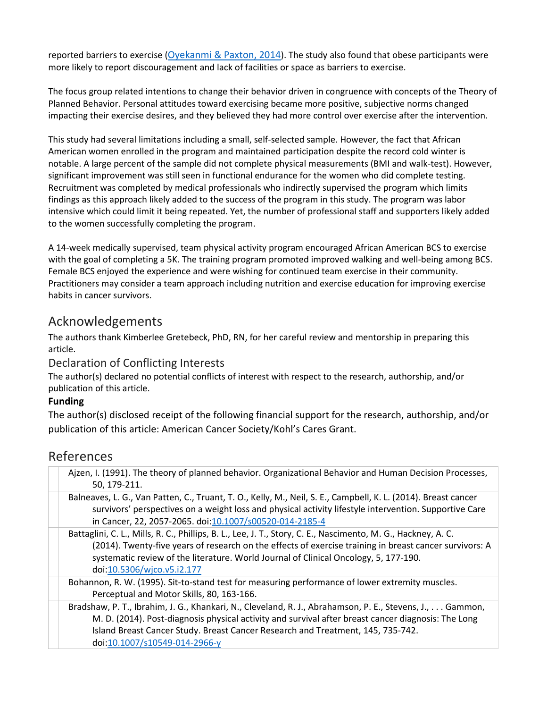reported barriers to exercise [\(Oyekanmi & Paxton, 2014\)](https://journals.sagepub.com/doi/10.1177/0193945918795313). The study also found that obese participants were more likely to report discouragement and lack of facilities or space as barriers to exercise.

The focus group related intentions to change their behavior driven in congruence with concepts of the Theory of Planned Behavior. Personal attitudes toward exercising became more positive, subjective norms changed impacting their exercise desires, and they believed they had more control over exercise after the intervention.

This study had several limitations including a small, self-selected sample. However, the fact that African American women enrolled in the program and maintained participation despite the record cold winter is notable. A large percent of the sample did not complete physical measurements (BMI and walk-test). However, significant improvement was still seen in functional endurance for the women who did complete testing. Recruitment was completed by medical professionals who indirectly supervised the program which limits findings as this approach likely added to the success of the program in this study. The program was labor intensive which could limit it being repeated. Yet, the number of professional staff and supporters likely added to the women successfully completing the program.

A 14-week medically supervised, team physical activity program encouraged African American BCS to exercise with the goal of completing a 5K. The training program promoted improved walking and well-being among BCS. Female BCS enjoyed the experience and were wishing for continued team exercise in their community. Practitioners may consider a team approach including nutrition and exercise education for improving exercise habits in cancer survivors.

## Acknowledgements

The authors thank Kimberlee Gretebeck, PhD, RN, for her careful review and mentorship in preparing this article.

## Declaration of Conflicting Interests

The author(s) declared no potential conflicts of interest with respect to the research, authorship, and/or publication of this article.

## **Funding**

The author(s) disclosed receipt of the following financial support for the research, authorship, and/or publication of this article: American Cancer Society/Kohl's Cares Grant.

## References

| Ajzen, I. (1991). The theory of planned behavior. Organizational Behavior and Human Decision Processes,<br>50, 179-211.                                                                                                                                                                                                                        |
|------------------------------------------------------------------------------------------------------------------------------------------------------------------------------------------------------------------------------------------------------------------------------------------------------------------------------------------------|
| Balneaves, L. G., Van Patten, C., Truant, T. O., Kelly, M., Neil, S. E., Campbell, K. L. (2014). Breast cancer<br>survivors' perspectives on a weight loss and physical activity lifestyle intervention. Supportive Care<br>in Cancer, 22, 2057-2065. doi:10.1007/s00520-014-2185-4                                                            |
| Battaglini, C. L., Mills, R. C., Phillips, B. L., Lee, J. T., Story, C. E., Nascimento, M. G., Hackney, A. C.<br>(2014). Twenty-five years of research on the effects of exercise training in breast cancer survivors: A<br>systematic review of the literature. World Journal of Clinical Oncology, 5, 177-190.<br>doi:10.5306/wjco.v5.i2.177 |
| Bohannon, R. W. (1995). Sit-to-stand test for measuring performance of lower extremity muscles.<br>Perceptual and Motor Skills, 80, 163-166.                                                                                                                                                                                                   |
| Bradshaw, P. T., Ibrahim, J. G., Khankari, N., Cleveland, R. J., Abrahamson, P. E., Stevens, J., Gammon,<br>M. D. (2014). Post-diagnosis physical activity and survival after breast cancer diagnosis: The Long<br>Island Breast Cancer Study. Breast Cancer Research and Treatment, 145, 735-742.<br>doi:10.1007/s10549-014-2966-y            |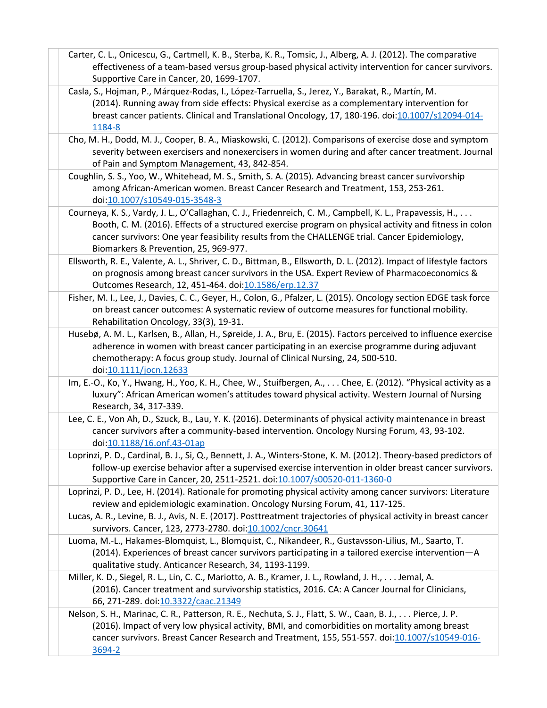| Carter, C. L., Onicescu, G., Cartmell, K. B., Sterba, K. R., Tomsic, J., Alberg, A. J. (2012). The comparative<br>effectiveness of a team-based versus group-based physical activity intervention for cancer survivors.<br>Supportive Care in Cancer, 20, 1699-1707. |
|----------------------------------------------------------------------------------------------------------------------------------------------------------------------------------------------------------------------------------------------------------------------|
| Casla, S., Hojman, P., Márquez-Rodas, I., López-Tarruella, S., Jerez, Y., Barakat, R., Martín, M.                                                                                                                                                                    |
|                                                                                                                                                                                                                                                                      |
| (2014). Running away from side effects: Physical exercise as a complementary intervention for                                                                                                                                                                        |
| breast cancer patients. Clinical and Translational Oncology, 17, 180-196. doi:10.1007/s12094-014-                                                                                                                                                                    |
| 1184-8                                                                                                                                                                                                                                                               |
| Cho, M. H., Dodd, M. J., Cooper, B. A., Miaskowski, C. (2012). Comparisons of exercise dose and symptom                                                                                                                                                              |
| severity between exercisers and nonexercisers in women during and after cancer treatment. Journal                                                                                                                                                                    |
| of Pain and Symptom Management, 43, 842-854.                                                                                                                                                                                                                         |
| Coughlin, S. S., Yoo, W., Whitehead, M. S., Smith, S. A. (2015). Advancing breast cancer survivorship                                                                                                                                                                |
| among African-American women. Breast Cancer Research and Treatment, 153, 253-261.                                                                                                                                                                                    |
|                                                                                                                                                                                                                                                                      |
| doi:10.1007/s10549-015-3548-3                                                                                                                                                                                                                                        |
| Courneya, K. S., Vardy, J. L., O'Callaghan, C. J., Friedenreich, C. M., Campbell, K. L., Prapavessis, H.,                                                                                                                                                            |
| Booth, C. M. (2016). Effects of a structured exercise program on physical activity and fitness in colon                                                                                                                                                              |
| cancer survivors: One year feasibility results from the CHALLENGE trial. Cancer Epidemiology,                                                                                                                                                                        |
| Biomarkers & Prevention, 25, 969-977.                                                                                                                                                                                                                                |
| Ellsworth, R. E., Valente, A. L., Shriver, C. D., Bittman, B., Ellsworth, D. L. (2012). Impact of lifestyle factors                                                                                                                                                  |
| on prognosis among breast cancer survivors in the USA. Expert Review of Pharmacoeconomics &                                                                                                                                                                          |
| Outcomes Research, 12, 451-464. doi: 10.1586/erp.12.37                                                                                                                                                                                                               |
|                                                                                                                                                                                                                                                                      |
| Fisher, M. I., Lee, J., Davies, C. C., Geyer, H., Colon, G., Pfalzer, L. (2015). Oncology section EDGE task force                                                                                                                                                    |
| on breast cancer outcomes: A systematic review of outcome measures for functional mobility.                                                                                                                                                                          |
| Rehabilitation Oncology, 33(3), 19-31.                                                                                                                                                                                                                               |
| Husebø, A. M. L., Karlsen, B., Allan, H., Søreide, J. A., Bru, E. (2015). Factors perceived to influence exercise                                                                                                                                                    |
| adherence in women with breast cancer participating in an exercise programme during adjuvant                                                                                                                                                                         |
| chemotherapy: A focus group study. Journal of Clinical Nursing, 24, 500-510.                                                                                                                                                                                         |
| doi:10.1111/jocn.12633                                                                                                                                                                                                                                               |
| Im, E.-O., Ko, Y., Hwang, H., Yoo, K. H., Chee, W., Stuifbergen, A., Chee, E. (2012). "Physical activity as a                                                                                                                                                        |
| luxury": African American women's attitudes toward physical activity. Western Journal of Nursing                                                                                                                                                                     |
| Research, 34, 317-339.                                                                                                                                                                                                                                               |
| Lee, C. E., Von Ah, D., Szuck, B., Lau, Y. K. (2016). Determinants of physical activity maintenance in breast                                                                                                                                                        |
|                                                                                                                                                                                                                                                                      |
| cancer survivors after a community-based intervention. Oncology Nursing Forum, 43, 93-102.                                                                                                                                                                           |
| doi:10.1188/16.onf.43-01ap                                                                                                                                                                                                                                           |
| Loprinzi, P. D., Cardinal, B. J., Si, Q., Bennett, J. A., Winters-Stone, K. M. (2012). Theory-based predictors of                                                                                                                                                    |
| follow-up exercise behavior after a supervised exercise intervention in older breast cancer survivors.                                                                                                                                                               |
| Supportive Care in Cancer, 20, 2511-2521. doi:10.1007/s00520-011-1360-0                                                                                                                                                                                              |
| Loprinzi, P. D., Lee, H. (2014). Rationale for promoting physical activity among cancer survivors: Literature                                                                                                                                                        |
| review and epidemiologic examination. Oncology Nursing Forum, 41, 117-125.                                                                                                                                                                                           |
| Lucas, A. R., Levine, B. J., Avis, N. E. (2017). Posttreatment trajectories of physical activity in breast cancer                                                                                                                                                    |
| survivors. Cancer, 123, 2773-2780. doi:10.1002/cncr.30641                                                                                                                                                                                                            |
|                                                                                                                                                                                                                                                                      |
| Luoma, M.-L., Hakames-Blomquist, L., Blomquist, C., Nikandeer, R., Gustavsson-Lilius, M., Saarto, T.                                                                                                                                                                 |
| (2014). Experiences of breast cancer survivors participating in a tailored exercise intervention-A                                                                                                                                                                   |
| qualitative study. Anticancer Research, 34, 1193-1199.                                                                                                                                                                                                               |
| Miller, K. D., Siegel, R. L., Lin, C. C., Mariotto, A. B., Kramer, J. L., Rowland, J. H., Jemal, A.                                                                                                                                                                  |
| (2016). Cancer treatment and survivorship statistics, 2016. CA: A Cancer Journal for Clinicians,                                                                                                                                                                     |
| 66, 271-289. doi:10.3322/caac.21349                                                                                                                                                                                                                                  |
| Nelson, S. H., Marinac, C. R., Patterson, R. E., Nechuta, S. J., Flatt, S. W., Caan, B. J., Pierce, J. P.                                                                                                                                                            |
| (2016). Impact of very low physical activity, BMI, and comorbidities on mortality among breast                                                                                                                                                                       |
| cancer survivors. Breast Cancer Research and Treatment, 155, 551-557. doi:10.1007/s10549-016-                                                                                                                                                                        |
| 3694-2                                                                                                                                                                                                                                                               |
|                                                                                                                                                                                                                                                                      |